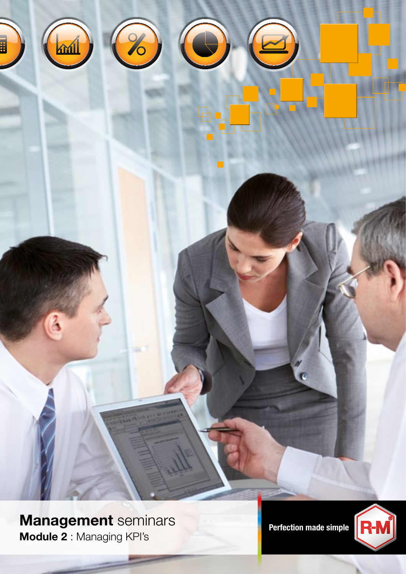



Management seminars<br>Refection made simple Module 2 : Managing KPI's

 $\overline{Q}$ 

**Axil** 

2